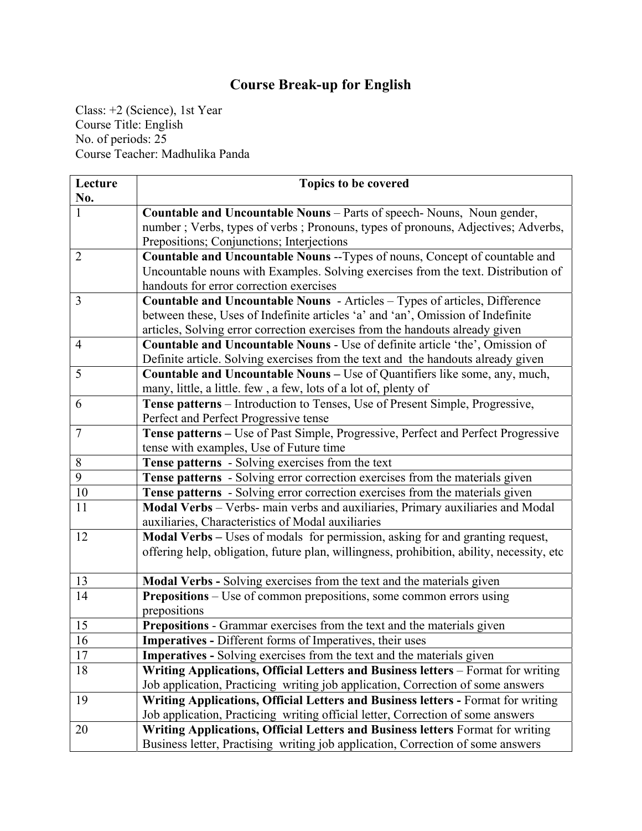## **Course Break-up for English**

Class: +2 (Science), 1st Year Course Title: English No. of periods: 25 Course Teacher: Madhulika Panda

| Lecture        | Topics to be covered                                                                      |
|----------------|-------------------------------------------------------------------------------------------|
| No.            |                                                                                           |
| 1              | Countable and Uncountable Nouns - Parts of speech- Nouns, Noun gender,                    |
|                | number; Verbs, types of verbs; Pronouns, types of pronouns, Adjectives; Adverbs,          |
|                | Prepositions; Conjunctions; Interjections                                                 |
| $\overline{2}$ | Countable and Uncountable Nouns -- Types of nouns, Concept of countable and               |
|                | Uncountable nouns with Examples. Solving exercises from the text. Distribution of         |
|                | handouts for error correction exercises                                                   |
| $\overline{3}$ | Countable and Uncountable Nouns - Articles - Types of articles, Difference                |
|                | between these, Uses of Indefinite articles 'a' and 'an', Omission of Indefinite           |
|                | articles, Solving error correction exercises from the handouts already given              |
| $\overline{4}$ | <b>Countable and Uncountable Nouns - Use of definite article 'the', Omission of</b>       |
|                | Definite article. Solving exercises from the text and the handouts already given          |
| 5              | Countable and Uncountable Nouns - Use of Quantifiers like some, any, much,                |
|                | many, little, a little. few, a few, lots of a lot of, plenty of                           |
| 6              | Tense patterns - Introduction to Tenses, Use of Present Simple, Progressive,              |
|                | Perfect and Perfect Progressive tense                                                     |
| $\overline{7}$ | Tense patterns - Use of Past Simple, Progressive, Perfect and Perfect Progressive         |
|                | tense with examples, Use of Future time                                                   |
| 8              | <b>Tense patterns</b> - Solving exercises from the text                                   |
| 9              | <b>Tense patterns</b> - Solving error correction exercises from the materials given       |
| 10             | Tense patterns - Solving error correction exercises from the materials given              |
| 11             | Modal Verbs - Verbs- main verbs and auxiliaries, Primary auxiliaries and Modal            |
|                | auxiliaries, Characteristics of Modal auxiliaries                                         |
| 12             | Modal Verbs - Uses of modals for permission, asking for and granting request,             |
|                | offering help, obligation, future plan, willingness, prohibition, ability, necessity, etc |
|                |                                                                                           |
| 13             | Modal Verbs - Solving exercises from the text and the materials given                     |
| 14             | Prepositions - Use of common prepositions, some common errors using                       |
|                | prepositions                                                                              |
| 15             | Prepositions - Grammar exercises from the text and the materials given                    |
| 16             | <b>Imperatives - Different forms of Imperatives, their uses</b>                           |
| 17             | <b>Imperatives -</b> Solving exercises from the text and the materials given              |
| 18             | Writing Applications, Official Letters and Business letters – Format for writing          |
|                | Job application, Practicing writing job application, Correction of some answers           |
| 19             | Writing Applications, Official Letters and Business letters - Format for writing          |
|                | Job application, Practicing writing official letter, Correction of some answers           |
| 20             | Writing Applications, Official Letters and Business letters Format for writing            |
|                | Business letter, Practising writing job application, Correction of some answers           |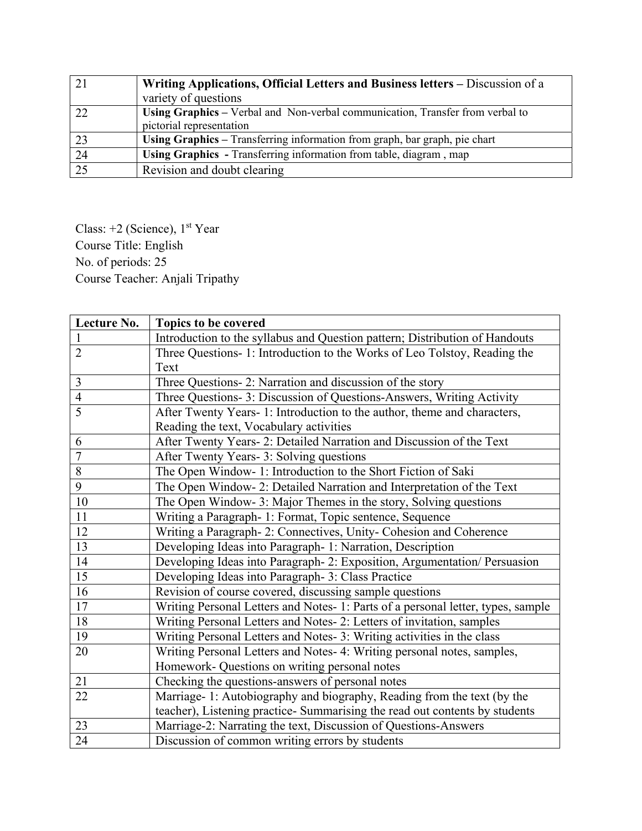|    | Writing Applications, Official Letters and Business letters – Discussion of a |
|----|-------------------------------------------------------------------------------|
|    | variety of questions                                                          |
| 22 | Using Graphics – Verbal and Non-verbal communication, Transfer from verbal to |
|    | pictorial representation                                                      |
| 23 | Using Graphics - Transferring information from graph, bar graph, pie chart    |
| 24 | Using Graphics - Transferring information from table, diagram, map            |
|    | Revision and doubt clearing                                                   |

Class: +2 (Science), 1<sup>st</sup> Year Course Title: English No. of periods: 25 Course Teacher: Anjali Tripathy

| Lecture No.    | Topics to be covered                                                             |
|----------------|----------------------------------------------------------------------------------|
| $\mathbf{1}$   | Introduction to the syllabus and Question pattern; Distribution of Handouts      |
| $\overline{2}$ | Three Questions- 1: Introduction to the Works of Leo Tolstoy, Reading the        |
|                | Text                                                                             |
| 3              | Three Questions- 2: Narration and discussion of the story                        |
| $\overline{4}$ | Three Questions- 3: Discussion of Questions-Answers, Writing Activity            |
| $\overline{5}$ | After Twenty Years- 1: Introduction to the author, theme and characters,         |
|                | Reading the text, Vocabulary activities                                          |
| 6              | After Twenty Years- 2: Detailed Narration and Discussion of the Text             |
| $\overline{7}$ | After Twenty Years- 3: Solving questions                                         |
| 8              | The Open Window- 1: Introduction to the Short Fiction of Saki                    |
| 9              | The Open Window- 2: Detailed Narration and Interpretation of the Text            |
| 10             | The Open Window- 3: Major Themes in the story, Solving questions                 |
| 11             | Writing a Paragraph- 1: Format, Topic sentence, Sequence                         |
| 12             | Writing a Paragraph- 2: Connectives, Unity- Cohesion and Coherence               |
| 13             | Developing Ideas into Paragraph- 1: Narration, Description                       |
| 14             | Developing Ideas into Paragraph- 2: Exposition, Argumentation/ Persuasion        |
| 15             | Developing Ideas into Paragraph- 3: Class Practice                               |
| 16             | Revision of course covered, discussing sample questions                          |
| 17             | Writing Personal Letters and Notes- 1: Parts of a personal letter, types, sample |
| 18             | Writing Personal Letters and Notes- 2: Letters of invitation, samples            |
| 19             | Writing Personal Letters and Notes- 3: Writing activities in the class           |
| 20             | Writing Personal Letters and Notes- 4: Writing personal notes, samples,          |
|                | Homework- Questions on writing personal notes                                    |
| 21             | Checking the questions-answers of personal notes                                 |
| 22             | Marriage- 1: Autobiography and biography, Reading from the text (by the          |
|                | teacher), Listening practice- Summarising the read out contents by students      |
| 23             | Marriage-2: Narrating the text, Discussion of Questions-Answers                  |
| 24             | Discussion of common writing errors by students                                  |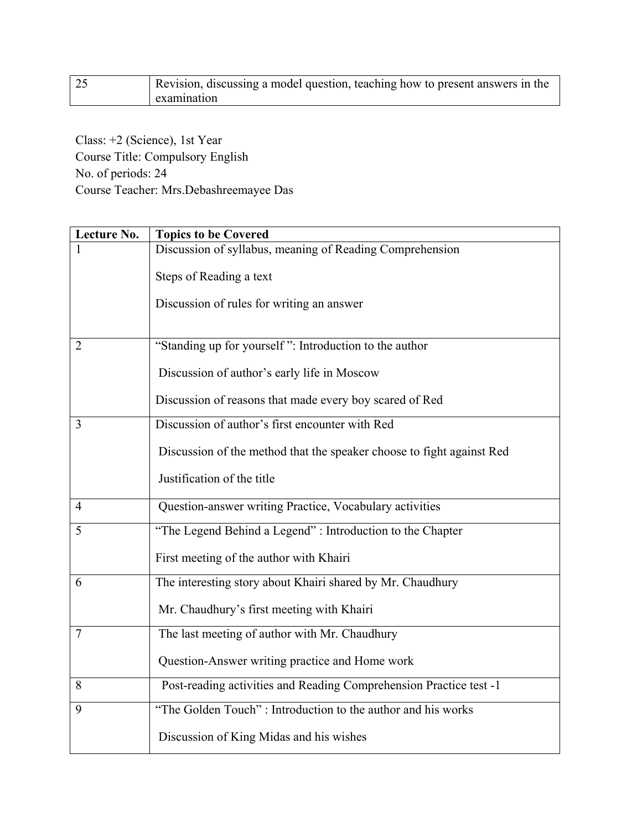| Revision, discussing a model question, teaching how to present answers in the |
|-------------------------------------------------------------------------------|
| examination                                                                   |

Class: +2 (Science), 1st Year Course Title: Compulsory English No. of periods: 24 Course Teacher: Mrs.Debashreemayee Das

| Lecture No.    | <b>Topics to be Covered</b>                                           |
|----------------|-----------------------------------------------------------------------|
|                | Discussion of syllabus, meaning of Reading Comprehension              |
|                | Steps of Reading a text                                               |
|                | Discussion of rules for writing an answer                             |
| $\overline{2}$ | "Standing up for yourself": Introduction to the author                |
|                | Discussion of author's early life in Moscow                           |
|                | Discussion of reasons that made every boy scared of Red               |
| 3              | Discussion of author's first encounter with Red                       |
|                | Discussion of the method that the speaker choose to fight against Red |
|                | Justification of the title                                            |
| $\overline{4}$ | Question-answer writing Practice, Vocabulary activities               |
| 5              | "The Legend Behind a Legend": Introduction to the Chapter             |
|                | First meeting of the author with Khairi                               |
| 6              | The interesting story about Khairi shared by Mr. Chaudhury            |
|                | Mr. Chaudhury's first meeting with Khairi                             |
| $\overline{7}$ | The last meeting of author with Mr. Chaudhury                         |
|                | Question-Answer writing practice and Home work                        |
| 8              | Post-reading activities and Reading Comprehension Practice test -1    |
| 9              | "The Golden Touch": Introduction to the author and his works          |
|                | Discussion of King Midas and his wishes                               |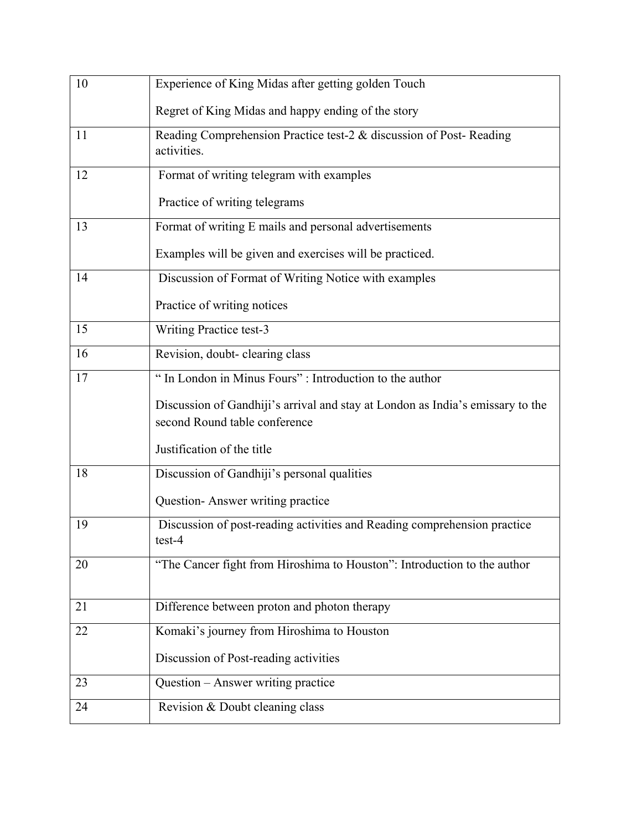| 10 | Experience of King Midas after getting golden Touch                                                             |
|----|-----------------------------------------------------------------------------------------------------------------|
|    | Regret of King Midas and happy ending of the story                                                              |
| 11 | Reading Comprehension Practice test-2 & discussion of Post-Reading<br>activities.                               |
| 12 | Format of writing telegram with examples                                                                        |
|    | Practice of writing telegrams                                                                                   |
| 13 | Format of writing E mails and personal advertisements                                                           |
|    | Examples will be given and exercises will be practiced.                                                         |
| 14 | Discussion of Format of Writing Notice with examples                                                            |
|    | Practice of writing notices                                                                                     |
| 15 | Writing Practice test-3                                                                                         |
| 16 | Revision, doubt- clearing class                                                                                 |
| 17 | " In London in Minus Fours" : Introduction to the author                                                        |
|    | Discussion of Gandhiji's arrival and stay at London as India's emissary to the<br>second Round table conference |
|    | Justification of the title                                                                                      |
| 18 | Discussion of Gandhiji's personal qualities                                                                     |
|    | Question-Answer writing practice                                                                                |
| 19 | Discussion of post-reading activities and Reading comprehension practice<br>test-4                              |
| 20 | "The Cancer fight from Hiroshima to Houston": Introduction to the author                                        |
| 21 | Difference between proton and photon therapy                                                                    |
| 22 | Komaki's journey from Hiroshima to Houston                                                                      |
|    | Discussion of Post-reading activities                                                                           |
| 23 | Question - Answer writing practice                                                                              |
| 24 | Revision & Doubt cleaning class                                                                                 |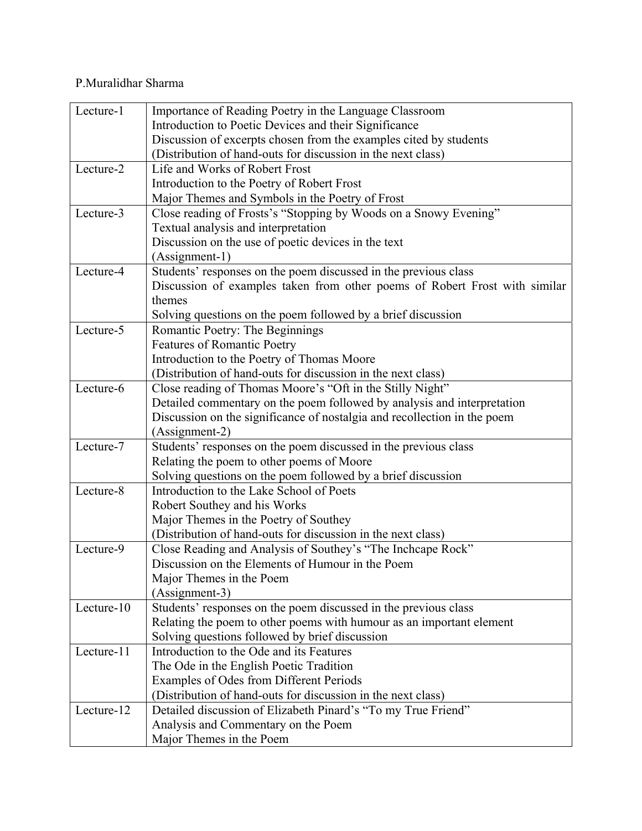## P.Muralidhar Sharma

| Lecture-1  | Importance of Reading Poetry in the Language Classroom                     |
|------------|----------------------------------------------------------------------------|
|            | Introduction to Poetic Devices and their Significance                      |
|            | Discussion of excerpts chosen from the examples cited by students          |
|            | (Distribution of hand-outs for discussion in the next class)               |
| Lecture-2  | Life and Works of Robert Frost                                             |
|            | Introduction to the Poetry of Robert Frost                                 |
|            | Major Themes and Symbols in the Poetry of Frost                            |
| Lecture-3  | Close reading of Frosts's "Stopping by Woods on a Snowy Evening"           |
|            | Textual analysis and interpretation                                        |
|            | Discussion on the use of poetic devices in the text                        |
|            | (Assignment-1)                                                             |
| Lecture-4  | Students' responses on the poem discussed in the previous class            |
|            | Discussion of examples taken from other poems of Robert Frost with similar |
|            | themes                                                                     |
|            | Solving questions on the poem followed by a brief discussion               |
| Lecture-5  | Romantic Poetry: The Beginnings                                            |
|            | <b>Features of Romantic Poetry</b>                                         |
|            | Introduction to the Poetry of Thomas Moore                                 |
|            | (Distribution of hand-outs for discussion in the next class)               |
| Lecture-6  | Close reading of Thomas Moore's "Oft in the Stilly Night"                  |
|            | Detailed commentary on the poem followed by analysis and interpretation    |
|            | Discussion on the significance of nostalgia and recollection in the poem   |
|            | (Assignment-2)                                                             |
| Lecture-7  | Students' responses on the poem discussed in the previous class            |
|            | Relating the poem to other poems of Moore                                  |
|            | Solving questions on the poem followed by a brief discussion               |
| Lecture-8  | Introduction to the Lake School of Poets                                   |
|            | Robert Southey and his Works                                               |
|            | Major Themes in the Poetry of Southey                                      |
|            | (Distribution of hand-outs for discussion in the next class)               |
| Lecture-9  | Close Reading and Analysis of Southey's "The Inchcape Rock"                |
|            | Discussion on the Elements of Humour in the Poem                           |
|            | Major Themes in the Poem                                                   |
|            | (Assignment-3)                                                             |
| Lecture-10 | Students' responses on the poem discussed in the previous class            |
|            | Relating the poem to other poems with humour as an important element       |
|            | Solving questions followed by brief discussion                             |
| Lecture-11 | Introduction to the Ode and its Features                                   |
|            | The Ode in the English Poetic Tradition                                    |
|            | Examples of Odes from Different Periods                                    |
|            | (Distribution of hand-outs for discussion in the next class)               |
| Lecture-12 | Detailed discussion of Elizabeth Pinard's "To my True Friend"              |
|            | Analysis and Commentary on the Poem                                        |
|            | Major Themes in the Poem                                                   |